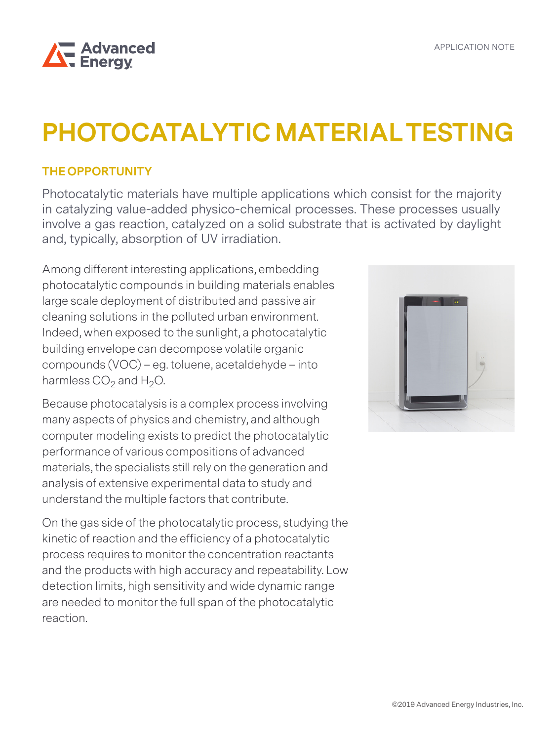

# **PHOTOCATALYTIC MATERIAL TESTING**

# **THE OPPORTUNITY**

Photocatalytic materials have multiple applications which consist for the majority in catalyzing value-added physico-chemical processes. These processes usually involve a gas reaction, catalyzed on a solid substrate that is activated by daylight and, typically, absorption of UV irradiation.

Among different interesting applications, embedding photocatalytic compounds in building materials enables large scale deployment of distributed and passive air cleaning solutions in the polluted urban environment. Indeed, when exposed to the sunlight, a photocatalytic building envelope can decompose volatile organic compounds (VOC) – eg. toluene, acetaldehyde – into harmless  $CO<sub>2</sub>$  and  $H<sub>2</sub>O$ .

Because photocatalysis is a complex process involving many aspects of physics and chemistry, and although computer modeling exists to predict the photocatalytic performance of various compositions of advanced materials, the specialists still rely on the generation and analysis of extensive experimental data to study and understand the multiple factors that contribute.

On the gas side of the photocatalytic process, studying the kinetic of reaction and the efficiency of a photocatalytic process requires to monitor the concentration reactants and the products with high accuracy and repeatability. Low detection limits, high sensitivity and wide dynamic range are needed to monitor the full span of the photocatalytic reaction.